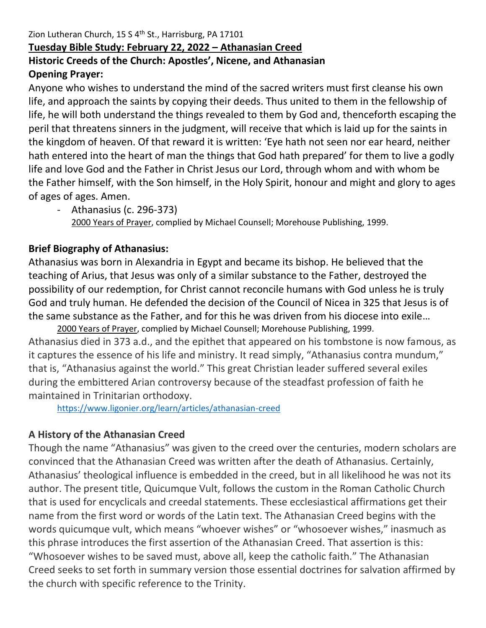#### Zion Lutheran Church, 15 S 4<sup>th</sup> St., Harrisburg, PA 17101 **Tuesday Bible Study: February 22, 2022 – Athanasian Creed Historic Creeds of the Church: Apostles', Nicene, and Athanasian Opening Prayer:**

Anyone who wishes to understand the mind of the sacred writers must first cleanse his own life, and approach the saints by copying their deeds. Thus united to them in the fellowship of life, he will both understand the things revealed to them by God and, thenceforth escaping the peril that threatens sinners in the judgment, will receive that which is laid up for the saints in the kingdom of heaven. Of that reward it is written: 'Eye hath not seen nor ear heard, neither hath entered into the heart of man the things that God hath prepared' for them to live a godly life and love God and the Father in Christ Jesus our Lord, through whom and with whom be the Father himself, with the Son himself, in the Holy Spirit, honour and might and glory to ages of ages of ages. Amen.

- Athanasius (c. 296-373) 2000 Years of Prayer, complied by Michael Counsell; Morehouse Publishing, 1999.

#### **Brief Biography of Athanasius:**

Athanasius was born in Alexandria in Egypt and became its bishop. He believed that the teaching of Arius, that Jesus was only of a similar substance to the Father, destroyed the possibility of our redemption, for Christ cannot reconcile humans with God unless he is truly God and truly human. He defended the decision of the Council of Nicea in 325 that Jesus is of the same substance as the Father, and for this he was driven from his diocese into exile…

2000 Years of Prayer, complied by Michael Counsell; Morehouse Publishing, 1999. Athanasius died in 373 a.d., and the epithet that appeared on his tombstone is now famous, as it captures the essence of his life and ministry. It read simply, "Athanasius contra mundum," that is, "Athanasius against the world." This great Christian leader suffered several exiles during the embittered Arian controversy because of the steadfast profession of faith he maintained in Trinitarian orthodoxy.

<https://www.ligonier.org/learn/articles/athanasian-creed>

#### **A History of the Athanasian Creed**

Though the name "Athanasius" was given to the creed over the centuries, modern scholars are convinced that the Athanasian Creed was written after the death of Athanasius. Certainly, Athanasius' theological influence is embedded in the creed, but in all likelihood he was not its author. The present title, Quicumque Vult, follows the custom in the Roman Catholic Church that is used for encyclicals and creedal statements. These ecclesiastical affirmations get their name from the first word or words of the Latin text. The Athanasian Creed begins with the words quicumque vult, which means "whoever wishes" or "whosoever wishes," inasmuch as this phrase introduces the first assertion of the Athanasian Creed. That assertion is this: "Whosoever wishes to be saved must, above all, keep the catholic faith." The Athanasian Creed seeks to set forth in summary version those essential doctrines for salvation affirmed by the church with specific reference to the Trinity.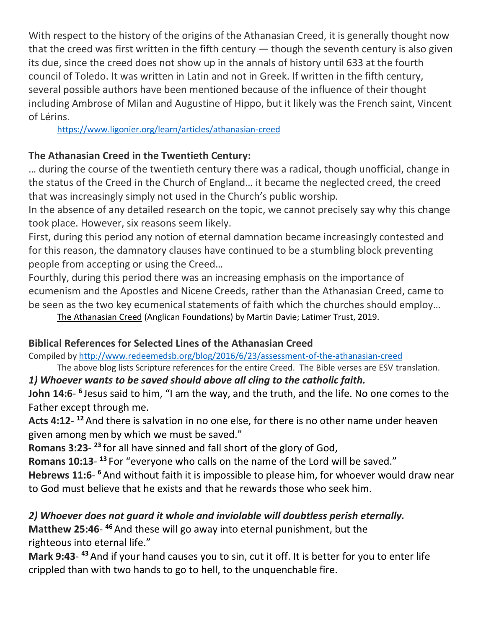With respect to the history of the origins of the Athanasian Creed, it is generally thought now that the creed was first written in the fifth century  $-$  though the seventh century is also given its due, since the creed does not show up in the annals of history until 633 at the fourth council of Toledo. It was written in Latin and not in Greek. If written in the fifth century, several possible authors have been mentioned because of the influence of their thought including Ambrose of Milan and Augustine of Hippo, but it likely was the French saint, Vincent of Lérins.

<https://www.ligonier.org/learn/articles/athanasian-creed>

#### **The Athanasian Creed in the Twentieth Century:**

… during the course of the twentieth century there was a radical, though unofficial, change in the status of the Creed in the Church of England… it became the neglected creed, the creed that was increasingly simply not used in the Church's public worship.

In the absence of any detailed research on the topic, we cannot precisely say why this change took place. However, six reasons seem likely.

First, during this period any notion of eternal damnation became increasingly contested and for this reason, the damnatory clauses have continued to be a stumbling block preventing people from accepting or using the Creed…

Fourthly, during this period there was an increasing emphasis on the importance of ecumenism and the Apostles and Nicene Creeds, rather than the Athanasian Creed, came to be seen as the two key ecumenical statements of faith which the churches should employ…

The Athanasian Creed (Anglican Foundations) by Martin Davie; Latimer Trust, 2019.

# **Biblical References for Selected Lines of the Athanasian Creed**

Compiled by<http://www.redeemedsb.org/blog/2016/6/23/assessment-of-the-athanasian-creed>

The above blog lists Scripture references for the entire Creed. The Bible verses are ESV translation.

# *1) Whoever wants to be saved should above all cling to the catholic faith.*

John 14:6- <sup>6</sup> Jesus said to him, "I am the way, and the truth, and the life. No one comes to the Father except through me.

Acts 4:12-<sup>12</sup> And there is salvation in no one else, for there is no other name under heaven given among men by which we must be saved."

**Romans 3:23**- **<sup>23</sup>** for all have sinned and fall short of the glory of God,

**Romans 10:13**- **<sup>13</sup>** For "everyone who calls on the name of the Lord will be saved."

Hebrews 11:6- <sup>6</sup> And without faith it is impossible to please him, for whoever would draw near to God must believe that he exists and that he rewards those who seek him.

# *2) Whoever does not guard it whole and inviolable will doubtless perish eternally.*

Matthew 25:46-<sup>46</sup> And these will go away into eternal punishment, but the righteous into eternal life."

**Mark 9:43**- **<sup>43</sup>** And if your hand causes you to sin, cut it off. It is better for you to enter life crippled than with two hands to go to hell, to the unquenchable fire.